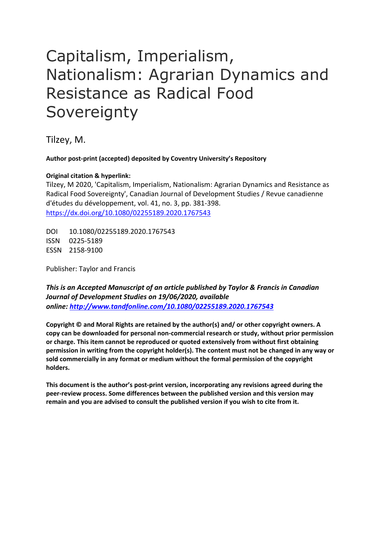# Capitalism, Imperialism, Nationalism: Agrarian Dynamics and Resistance as Radical Food **Sovereignty**

Tilzey, M.

**Author post-print (accepted) deposited by Coventry University's Repository**

# **Original citation & hyperlink:**

Tilzey, M 2020, 'Capitalism, Imperialism, Nationalism: Agrarian Dynamics and Resistance as Radical Food Sovereignty', Canadian Journal of Development Studies / Revue canadienne d'études du développement, vol. 41, no. 3, pp. 381-398. <https://dx.doi.org/10.1080/02255189.2020.1767543>

DOI 10.1080/02255189.2020.1767543 ISSN 0225-5189 ESSN 2158-9100

Publisher: Taylor and Francis

*This is an Accepted Manuscript of an article published by Taylor & Francis in Canadian Journal of Development Studies on 19/06/2020, available online: <http://www.tandfonline.com/10.1080/02255189.2020.1767543>*

**Copyright © and Moral Rights are retained by the author(s) and/ or other copyright owners. A copy can be downloaded for personal non-commercial research or study, without prior permission or charge. This item cannot be reproduced or quoted extensively from without first obtaining permission in writing from the copyright holder(s). The content must not be changed in any way or sold commercially in any format or medium without the formal permission of the copyright holders.** 

**This document is the author's post-print version, incorporating any revisions agreed during the peer-review process. Some differences between the published version and this version may remain and you are advised to consult the published version if you wish to cite from it.**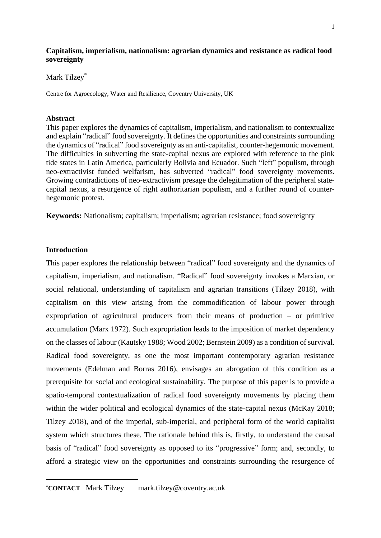## **Capitalism, imperialism, nationalism: agrarian dynamics and resistance as radical food sovereignty**

# Mark Tilzey\*

Centre for Agroecology, Water and Resilience, Coventry University, UK

#### **Abstract**

This paper explores the dynamics of capitalism, imperialism, and nationalism to contextualize and explain "radical" food sovereignty. It defines the opportunities and constraints surrounding the dynamics of "radical" food sovereignty as an anti-capitalist, counter-hegemonic movement. The difficulties in subverting the state-capital nexus are explored with reference to the pink tide states in Latin America, particularly Bolivia and Ecuador. Such "left" populism, through neo-extractivist funded welfarism, has subverted "radical" food sovereignty movements. Growing contradictions of neo-extractivism presage the delegitimation of the peripheral statecapital nexus, a resurgence of right authoritarian populism, and a further round of counterhegemonic protest*.* 

**Keywords:** Nationalism; capitalism; imperialism; agrarian resistance; food sovereignty

# **Introduction**

This paper explores the relationship between "radical" food sovereignty and the dynamics of capitalism, imperialism, and nationalism. "Radical" food sovereignty invokes a Marxian, or social relational, understanding of capitalism and agrarian transitions (Tilzey 2018), with capitalism on this view arising from the commodification of labour power through expropriation of agricultural producers from their means of production – or primitive accumulation (Marx 1972). Such expropriation leads to the imposition of market dependency on the classes of labour (Kautsky 1988; Wood 2002; Bernstein 2009) as a condition of survival. Radical food sovereignty, as one the most important contemporary agrarian resistance movements (Edelman and Borras 2016), envisages an abrogation of this condition as a prerequisite for social and ecological sustainability. The purpose of this paper is to provide a spatio-temporal contextualization of radical food sovereignty movements by placing them within the wider political and ecological dynamics of the state-capital nexus (McKay 2018; Tilzey 2018), and of the imperial, sub-imperial, and peripheral form of the world capitalist system which structures these. The rationale behind this is, firstly, to understand the causal basis of "radical" food sovereignty as opposed to its "progressive" form; and, secondly, to afford a strategic view on the opportunities and constraints surrounding the resurgence of

<sup>\*</sup>**CONTACT** Mark Tilzey mark.tilzey@coventry.ac.uk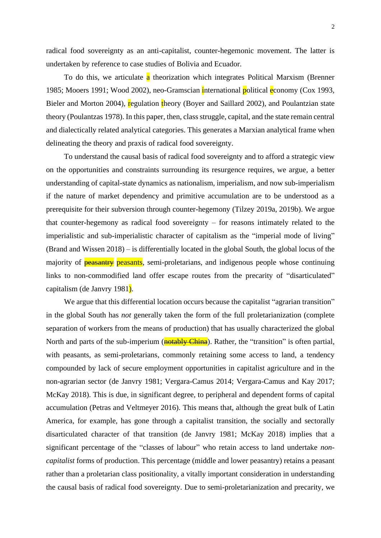radical food sovereignty as an anti-capitalist, counter-hegemonic movement. The latter is undertaken by reference to case studies of Bolivia and Ecuador.

To do this, we articulate a theorization which integrates Political Marxism (Brenner 1985; Mooers 1991; Wood 2002), neo-Gramscian international political economy (Cox 1993, Bieler and Morton 2004), regulation theory (Boyer and Saillard 2002), and Poulantzian state theory (Poulantzas 1978). In this paper, then, class struggle, capital, and the state remain central and dialectically related analytical categories. This generates a Marxian analytical frame when delineating the theory and praxis of radical food sovereignty.

To understand the causal basis of radical food sovereignty and to afford a strategic view on the opportunities and constraints surrounding its resurgence requires, we argue*,* a better understanding of capital-state dynamics as nationalism, imperialism, and now sub-imperialism if the nature of market dependency and primitive accumulation are to be understood as a prerequisite for their subversion through counter-hegemony (Tilzey 2019a, 2019b). We argue that counter-hegemony as radical food sovereignty – for reasons intimately related to the imperialistic and sub-imperialistic character of capitalism as the "imperial mode of living" (Brand and Wissen 2018) – is differentially located in the global South, the global locus of the majority of **peasantry** peasants, semi-proletarians, and indigenous people whose continuing links to non-commodified land offer escape routes from the precarity of "disarticulated" capitalism (de Janvry 1981).

We argue that this differential location occurs because the capitalist "agrarian transition" in the global South has *not* generally taken the form of the full proletarianization (complete separation of workers from the means of production) that has usually characterized the global North and parts of the sub-imperium (**notably China**). Rather, the "transition" is often partial, with peasants, as semi-proletarians, commonly retaining some access to land, a tendency compounded by lack of secure employment opportunities in capitalist agriculture and in the non-agrarian sector (de Janvry 1981; Vergara-Camus 2014; Vergara-Camus and Kay 2017; McKay 2018). This is due, in significant degree, to peripheral and dependent forms of capital accumulation (Petras and Veltmeyer 2016). This means that, although the great bulk of Latin America, for example, has gone through a capitalist transition, the socially and sectorally disarticulated character of that transition (de Janvry 1981; McKay 2018) implies that a significant percentage of the "classes of labour" who retain access to land undertake *noncapitalist* forms of production. This percentage (middle and lower peasantry) retains a peasant rather than a proletarian class positionality, a vitally important consideration in understanding the causal basis of radical food sovereignty. Due to semi-proletarianization and precarity, we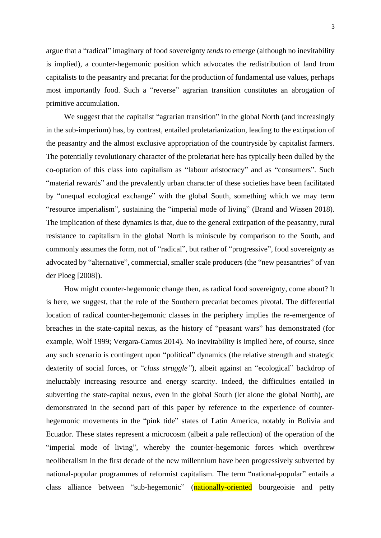argue that a "radical" imaginary of food sovereignty *tends* to emerge (although no inevitability is implied), a counter-hegemonic position which advocates the redistribution of land from capitalists to the peasantry and precariat for the production of fundamental use values, perhaps most importantly food. Such a "reverse" agrarian transition constitutes an abrogation of primitive accumulation.

We suggest that the capitalist "agrarian transition" in the global North (and increasingly in the sub-imperium) has, by contrast, entailed proletarianization, leading to the extirpation of the peasantry and the almost exclusive appropriation of the countryside by capitalist farmers. The potentially revolutionary character of the proletariat here has typically been dulled by the co-optation of this class into capitalism as "labour aristocracy" and as "consumers". Such "material rewards" and the prevalently urban character of these societies have been facilitated by "unequal ecological exchange" with the global South, something which we may term "resource imperialism", sustaining the "imperial mode of living" (Brand and Wissen 2018). The implication of these dynamics is that, due to the general extirpation of the peasantry, rural resistance to capitalism in the global North is miniscule by comparison to the South, and commonly assumes the form, not of "radical", but rather of "progressive", food sovereignty as advocated by "alternative", commercial, smaller scale producers (the "new peasantries" of van der Ploeg [2008]).

How might counter-hegemonic change then, as radical food sovereignty, come about? It is here, we suggest, that the role of the Southern precariat becomes pivotal. The differential location of radical counter-hegemonic classes in the periphery implies the re-emergence of breaches in the state-capital nexus, as the history of "peasant wars" has demonstrated (for example, Wolf 1999; Vergara-Camus 2014). No inevitability is implied here, of course, since any such scenario is contingent upon "political" dynamics (the relative strength and strategic dexterity of social forces, or "*class struggle"*), albeit against an "ecological" backdrop of ineluctably increasing resource and energy scarcity. Indeed, the difficulties entailed in subverting the state-capital nexus, even in the global South (let alone the global North), are demonstrated in the second part of this paper by reference to the experience of counterhegemonic movements in the "pink tide" states of Latin America, notably in Bolivia and Ecuador. These states represent a microcosm (albeit a pale reflection) of the operation of the "imperial mode of living", whereby the counter-hegemonic forces which overthrew neoliberalism in the first decade of the new millennium have been progressively subverted by national-popular programmes of reformist capitalism. The term "national-popular" entails a class alliance between "sub-hegemonic" (nationally-oriented bourgeoisie and petty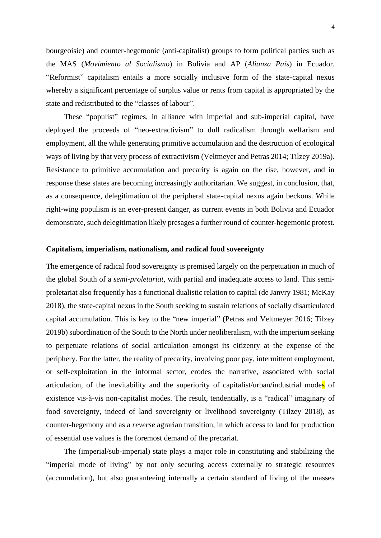bourgeoisie) and counter-hegemonic (anti-capitalist) groups to form political parties such as the MAS (*Movimiento al Socialismo*) in Bolivia and AP (*Alianza País*) in Ecuador. "Reformist" capitalism entails a more socially inclusive form of the state-capital nexus whereby a significant percentage of surplus value or rents from capital is appropriated by the state and redistributed to the "classes of labour".

These "populist" regimes, in alliance with imperial and sub-imperial capital, have deployed the proceeds of "neo-extractivism" to dull radicalism through welfarism and employment, all the while generating primitive accumulation and the destruction of ecological ways of living by that very process of extractivism (Veltmeyer and Petras 2014; Tilzey 2019a). Resistance to primitive accumulation and precarity is again on the rise, however, and in response these states are becoming increasingly authoritarian. We suggest, in conclusion, that, as a consequence, delegitimation of the peripheral state-capital nexus again beckons. While right-wing populism is an ever-present danger, as current events in both Bolivia and Ecuador demonstrate, such delegitimation likely presages a further round of counter-hegemonic protest.

### **Capitalism, imperialism, nationalism, and radical food sovereignty**

The emergence of radical food sovereignty is premised largely on the perpetuation in much of the global South of a *semi-proletariat*, with partial and inadequate access to land. This semiproletariat also frequently has a functional dualistic relation to capital (de Janvry 1981; McKay 2018), the state-capital nexus in the South seeking to sustain relations of socially disarticulated capital accumulation. This is key to the "new imperial" (Petras and Veltmeyer 2016; Tilzey 2019b) subordination of the South to the North under neoliberalism, with the imperium seeking to perpetuate relations of social articulation amongst its citizenry at the expense of the periphery. For the latter, the reality of precarity, involving poor pay, intermittent employment, or self-exploitation in the informal sector, erodes the narrative, associated with social articulation, of the inevitability and the superiority of capitalist/urban/industrial modes of existence vis-à-vis non-capitalist modes. The result, tendentially, is a "radical" imaginary of food sovereignty, indeed of land sovereignty or livelihood sovereignty (Tilzey 2018), as counter-hegemony and as a *reverse* agrarian transition, in which access to land for production of essential use values is the foremost demand of the precariat.

The (imperial/sub-imperial) state plays a major role in constituting and stabilizing the "imperial mode of living" by not only securing access externally to strategic resources (accumulation), but also guaranteeing internally a certain standard of living of the masses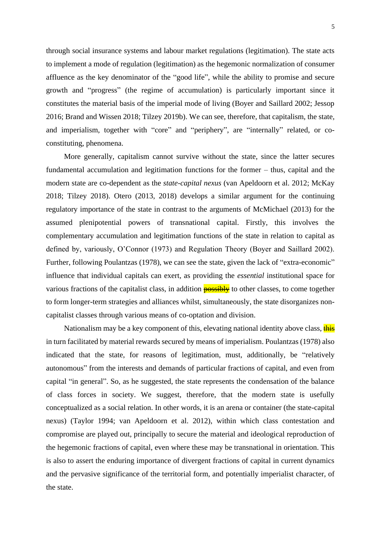through social insurance systems and labour market regulations (legitimation). The state acts to implement a mode of regulation (legitimation) as the hegemonic normalization of consumer affluence as the key denominator of the "good life", while the ability to promise and secure growth and "progress" (the regime of accumulation) is particularly important since it constitutes the material basis of the imperial mode of living (Boyer and Saillard 2002; Jessop 2016; Brand and Wissen 2018; Tilzey 2019b). We can see, therefore, that capitalism, the state, and imperialism, together with "core" and "periphery", are "internally" related, or coconstituting, phenomena.

More generally, capitalism cannot survive without the state, since the latter secures fundamental accumulation and legitimation functions for the former – thus, capital and the modern state are co-dependent as the *state-capital nexus* (van Apeldoorn et al. 2012; McKay 2018; Tilzey 2018). Otero (2013, 2018) develops a similar argument for the continuing regulatory importance of the state in contrast to the arguments of McMichael (2013) for the assumed plenipotential powers of transnational capital. Firstly, this involves the complementary accumulation and legitimation functions of the state in relation to capital as defined by, variously, O'Connor (1973) and Regulation Theory (Boyer and Saillard 2002). Further, following Poulantzas (1978), we can see the state, given the lack of "extra-economic" influence that individual capitals can exert, as providing the *essential* institutional space for various fractions of the capitalist class, in addition **possibly** to other classes, to come together to form longer-term strategies and alliances whilst, simultaneously, the state disorganizes noncapitalist classes through various means of co-optation and division.

Nationalism may be a key component of this, elevating national identity above class, this in turn facilitated by material rewards secured by means of imperialism. Poulantzas (1978) also indicated that the state, for reasons of legitimation, must, additionally, be "relatively autonomous" from the interests and demands of particular fractions of capital, and even from capital "in general". So, as he suggested, the state represents the condensation of the balance of class forces in society. We suggest, therefore, that the modern state is usefully conceptualized as a social relation. In other words, it is an arena or container (the state-capital nexus) (Taylor 1994; van Apeldoorn et al. 2012), within which class contestation and compromise are played out, principally to secure the material and ideological reproduction of the hegemonic fractions of capital, even where these may be transnational in orientation. This is also to assert the enduring importance of divergent fractions of capital in current dynamics and the pervasive significance of the territorial form, and potentially imperialist character, of the state.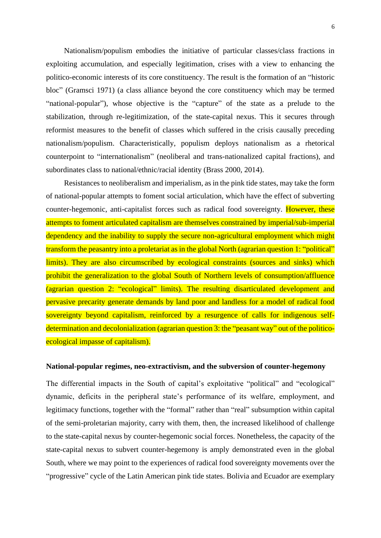Nationalism/populism embodies the initiative of particular classes/class fractions in exploiting accumulation, and especially legitimation, crises with a view to enhancing the politico-economic interests of its core constituency. The result is the formation of an "historic bloc" (Gramsci 1971) (a class alliance beyond the core constituency which may be termed "national-popular"), whose objective is the "capture" of the state as a prelude to the stabilization, through re-legitimization, of the state-capital nexus. This it secures through reformist measures to the benefit of classes which suffered in the crisis causally preceding nationalism/populism. Characteristically, populism deploys nationalism as a rhetorical counterpoint to "internationalism" (neoliberal and trans-nationalized capital fractions), and subordinates class to national/ethnic/racial identity (Brass 2000, 2014).

Resistances to neoliberalism and imperialism, as in the pink tide states, may take the form of national-popular attempts to foment social articulation, which have the effect of subverting counter-hegemonic, anti-capitalist forces such as radical food sovereignty. However, these attempts to foment articulated capitalism are themselves constrained by imperial/sub-imperial dependency and the inability to supply the secure non-agricultural employment which might transform the peasantry into a proletariat as in the global North (agrarian question 1: "political" limits). They are also circumscribed by ecological constraints (sources and sinks) which prohibit the generalization to the global South of Northern levels of consumption/affluence (agrarian question 2: "ecological" limits). The resulting disarticulated development and pervasive precarity generate demands by land poor and landless for a model of radical food sovereignty beyond capitalism, reinforced by a resurgence of calls for indigenous selfdetermination and decolonialization (agrarian question 3: the "peasant way" out of the politicoecological impasse of capitalism).

## **National-popular regimes, neo-extractivism, and the subversion of counter-hegemony**

The differential impacts in the South of capital's exploitative "political" and "ecological" dynamic, deficits in the peripheral state's performance of its welfare, employment, and legitimacy functions, together with the "formal" rather than "real" subsumption within capital of the semi-proletarian majority, carry with them, then, the increased likelihood of challenge to the state-capital nexus by counter-hegemonic social forces. Nonetheless, the capacity of the state-capital nexus to subvert counter-hegemony is amply demonstrated even in the global South, where we may point to the experiences of radical food sovereignty movements over the "progressive" cycle of the Latin American pink tide states. Bolivia and Ecuador are exemplary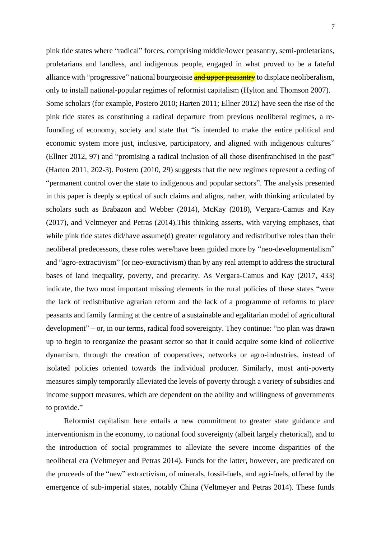pink tide states where "radical" forces, comprising middle/lower peasantry, semi-proletarians, proletarians and landless, and indigenous people, engaged in what proved to be a fateful alliance with "progressive" national bourgeoisie and upper peasantry to displace neoliberalism, only to install national-popular regimes of reformist capitalism (Hylton and Thomson 2007). Some scholars (for example, Postero 2010; Harten 2011; Ellner 2012) have seen the rise of the pink tide states as constituting a radical departure from previous neoliberal regimes, a refounding of economy, society and state that "is intended to make the entire political and economic system more just, inclusive, participatory, and aligned with indigenous cultures" (Ellner 2012, 97) and "promising a radical inclusion of all those disenfranchised in the past" (Harten 2011, 202-3). Postero (2010, 29) suggests that the new regimes represent a ceding of "permanent control over the state to indigenous and popular sectors". The analysis presented in this paper is deeply sceptical of such claims and aligns, rather, with thinking articulated by scholars such as Brabazon and Webber (2014), McKay (2018), Vergara-Camus and Kay (2017), and Veltmeyer and Petras (2014).This thinking asserts, with varying emphases, that while pink tide states did/have assume(d) greater regulatory and redistributive roles than their neoliberal predecessors, these roles were/have been guided more by "neo-developmentalism" and "agro-extractivism" (or neo-extractivism) than by any real attempt to address the structural bases of land inequality, poverty, and precarity. As Vergara-Camus and Kay (2017, 433) indicate, the two most important missing elements in the rural policies of these states "were the lack of redistributive agrarian reform and the lack of a programme of reforms to place peasants and family farming at the centre of a sustainable and egalitarian model of agricultural development" – or, in our terms, radical food sovereignty. They continue: "no plan was drawn up to begin to reorganize the peasant sector so that it could acquire some kind of collective dynamism, through the creation of cooperatives, networks or agro-industries, instead of isolated policies oriented towards the individual producer. Similarly, most anti-poverty measures simply temporarily alleviated the levels of poverty through a variety of subsidies and income support measures, which are dependent on the ability and willingness of governments to provide."

Reformist capitalism here entails a new commitment to greater state guidance and interventionism in the economy, to national food sovereignty (albeit largely rhetorical), and to the introduction of social programmes to alleviate the severe income disparities of the neoliberal era (Veltmeyer and Petras 2014). Funds for the latter, however, are predicated on the proceeds of the "new" extractivism, of minerals, fossil-fuels, and agri-fuels, offered by the emergence of sub-imperial states, notably China (Veltmeyer and Petras 2014). These funds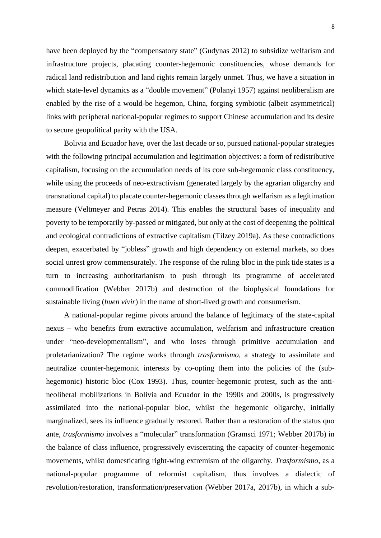have been deployed by the "compensatory state" (Gudynas 2012) to subsidize welfarism and infrastructure projects, placating counter-hegemonic constituencies, whose demands for radical land redistribution and land rights remain largely unmet. Thus, we have a situation in which state-level dynamics as a "double movement" (Polanyi 1957) against neoliberalism are enabled by the rise of a would-be hegemon, China, forging symbiotic (albeit asymmetrical) links with peripheral national-popular regimes to support Chinese accumulation and its desire to secure geopolitical parity with the USA.

Bolivia and Ecuador have, over the last decade or so, pursued national-popular strategies with the following principal accumulation and legitimation objectives: a form of redistributive capitalism, focusing on the accumulation needs of its core sub-hegemonic class constituency, while using the proceeds of neo-extractivism (generated largely by the agrarian oligarchy and transnational capital) to placate counter-hegemonic classes through welfarism as a legitimation measure (Veltmeyer and Petras 2014). This enables the structural bases of inequality and poverty to be temporarily by-passed or mitigated, but only at the cost of deepening the political and ecological contradictions of extractive capitalism (Tilzey 2019a). As these contradictions deepen, exacerbated by "jobless" growth and high dependency on external markets, so does social unrest grow commensurately. The response of the ruling bloc in the pink tide states is a turn to increasing authoritarianism to push through its programme of accelerated commodification (Webber 2017b) and destruction of the biophysical foundations for sustainable living (*buen vivir*) in the name of short-lived growth and consumerism.

A national-popular regime pivots around the balance of legitimacy of the state-capital nexus – who benefits from extractive accumulation, welfarism and infrastructure creation under "neo-developmentalism", and who loses through primitive accumulation and proletarianization? The regime works through *trasformismo*, a strategy to assimilate and neutralize counter-hegemonic interests by co-opting them into the policies of the (subhegemonic) historic bloc (Cox 1993). Thus, counter-hegemonic protest, such as the antineoliberal mobilizations in Bolivia and Ecuador in the 1990s and 2000s, is progressively assimilated into the national-popular bloc, whilst the hegemonic oligarchy, initially marginalized, sees its influence gradually restored. Rather than a restoration of the status quo ante, *trasformismo* involves a "molecular" transformation (Gramsci 1971; Webber 2017b) in the balance of class influence, progressively eviscerating the capacity of counter-hegemonic movements, whilst domesticating right-wing extremism of the oligarchy. *Trasformismo*, as a national-popular programme of reformist capitalism, thus involves a dialectic of revolution/restoration, transformation/preservation (Webber 2017a, 2017b), in which a sub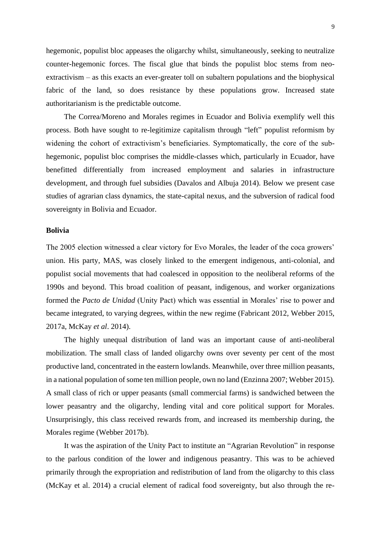hegemonic, populist bloc appeases the oligarchy whilst, simultaneously, seeking to neutralize counter-hegemonic forces. The fiscal glue that binds the populist bloc stems from neoextractivism – as this exacts an ever-greater toll on subaltern populations and the biophysical fabric of the land, so does resistance by these populations grow. Increased state authoritarianism is the predictable outcome.

The Correa/Moreno and Morales regimes in Ecuador and Bolivia exemplify well this process. Both have sought to re-legitimize capitalism through "left" populist reformism by widening the cohort of extractivism's beneficiaries. Symptomatically, the core of the subhegemonic, populist bloc comprises the middle-classes which, particularly in Ecuador, have benefitted differentially from increased employment and salaries in infrastructure development, and through fuel subsidies (Davalos and Albuja 2014). Below we present case studies of agrarian class dynamics, the state-capital nexus, and the subversion of radical food sovereignty in Bolivia and Ecuador.

#### **Bolivia**

The 2005 election witnessed a clear victory for Evo Morales, the leader of the coca growers' union. His party, MAS, was closely linked to the emergent indigenous, anti-colonial, and populist social movements that had coalesced in opposition to the neoliberal reforms of the 1990s and beyond. This broad coalition of peasant, indigenous, and worker organizations formed the *Pacto de Unidad* (Unity Pact) which was essential in Morales' rise to power and became integrated, to varying degrees, within the new regime (Fabricant 2012, Webber 2015, 2017a, McKay *et al*. 2014).

The highly unequal distribution of land was an important cause of anti-neoliberal mobilization. The small class of landed oligarchy owns over seventy per cent of the most productive land, concentrated in the eastern lowlands. Meanwhile, over three million peasants, in a national population of some ten million people, own no land (Enzinna 2007; Webber 2015). A small class of rich or upper peasants (small commercial farms) is sandwiched between the lower peasantry and the oligarchy, lending vital and core political support for Morales. Unsurprisingly, this class received rewards from, and increased its membership during, the Morales regime (Webber 2017b).

It was the aspiration of the Unity Pact to institute an "Agrarian Revolution" in response to the parlous condition of the lower and indigenous peasantry. This was to be achieved primarily through the expropriation and redistribution of land from the oligarchy to this class (McKay et al. 2014) a crucial element of radical food sovereignty, but also through the re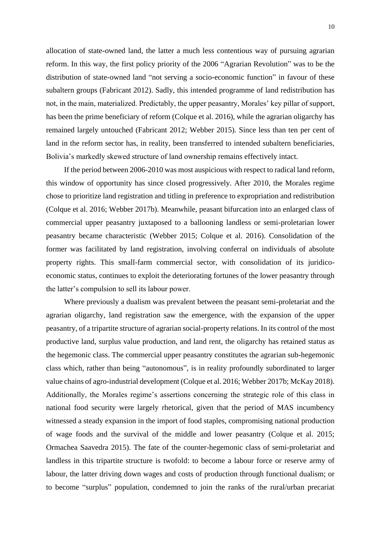allocation of state-owned land, the latter a much less contentious way of pursuing agrarian reform. In this way, the first policy priority of the 2006 "Agrarian Revolution" was to be the distribution of state-owned land "not serving a socio-economic function" in favour of these subaltern groups (Fabricant 2012). Sadly, this intended programme of land redistribution has not, in the main, materialized. Predictably, the upper peasantry, Morales' key pillar of support, has been the prime beneficiary of reform (Colque et al. 2016), while the agrarian oligarchy has remained largely untouched (Fabricant 2012; Webber 2015). Since less than ten per cent of land in the reform sector has, in reality, been transferred to intended subaltern beneficiaries, Bolivia's markedly skewed structure of land ownership remains effectively intact.

If the period between 2006-2010 was most auspicious with respect to radical land reform, this window of opportunity has since closed progressively. After 2010, the Morales regime chose to prioritize land registration and titling in preference to expropriation and redistribution (Colque et al. 2016; Webber 2017b). Meanwhile, peasant bifurcation into an enlarged class of commercial upper peasantry juxtaposed to a ballooning landless or semi-proletarian lower peasantry became characteristic (Webber 2015; Colque et al. 2016). Consolidation of the former was facilitated by land registration, involving conferral on individuals of absolute property rights. This small-farm commercial sector, with consolidation of its juridicoeconomic status, continues to exploit the deteriorating fortunes of the lower peasantry through the latter's compulsion to sell its labour power.

Where previously a dualism was prevalent between the peasant semi-proletariat and the agrarian oligarchy, land registration saw the emergence, with the expansion of the upper peasantry, of a tripartite structure of agrarian social-property relations. In its control of the most productive land, surplus value production, and land rent, the oligarchy has retained status as the hegemonic class. The commercial upper peasantry constitutes the agrarian sub-hegemonic class which, rather than being "autonomous", is in reality profoundly subordinated to larger value chains of agro-industrial development (Colque et al. 2016; Webber 2017b; McKay 2018). Additionally, the Morales regime's assertions concerning the strategic role of this class in national food security were largely rhetorical, given that the period of MAS incumbency witnessed a steady expansion in the import of food staples, compromising national production of wage foods and the survival of the middle and lower peasantry (Colque et al. 2015; Ormachea Saavedra 2015). The fate of the counter-hegemonic class of semi-proletariat and landless in this tripartite structure is twofold: to become a labour force or reserve army of labour, the latter driving down wages and costs of production through functional dualism; or to become "surplus" population, condemned to join the ranks of the rural/urban precariat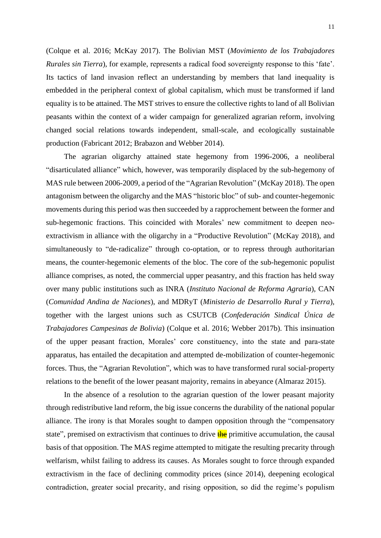(Colque et al. 2016; McKay 2017). The Bolivian MST (*Movimiento de los Trabajadores Rurales sin Tierra*), for example, represents a radical food sovereignty response to this 'fate'. Its tactics of land invasion reflect an understanding by members that land inequality is embedded in the peripheral context of global capitalism, which must be transformed if land equality is to be attained. The MST strives to ensure the collective rights to land of all Bolivian peasants within the context of a wider campaign for generalized agrarian reform, involving changed social relations towards independent, small-scale, and ecologically sustainable production (Fabricant 2012; Brabazon and Webber 2014).

The agrarian oligarchy attained state hegemony from 1996-2006, a neoliberal "disarticulated alliance" which, however, was temporarily displaced by the sub-hegemony of MAS rule between 2006-2009, a period of the "Agrarian Revolution" (McKay 2018). The open antagonism between the oligarchy and the MAS "historic bloc" of sub- and counter-hegemonic movements during this period was then succeeded by a rapprochement between the former and sub-hegemonic fractions. This coincided with Morales' new commitment to deepen neoextractivism in alliance with the oligarchy in a "Productive Revolution" (McKay 2018), and simultaneously to "de-radicalize" through co-optation, or to repress through authoritarian means, the counter-hegemonic elements of the bloc. The core of the sub-hegemonic populist alliance comprises, as noted, the commercial upper peasantry, and this fraction has held sway over many public institutions such as INRA (*Instituto Nacional de Reforma Agraria*), CAN (*Comunidad Andina de Naciones*), and MDRyT (*Ministerio de Desarrollo Rural y Tierra*), together with the largest unions such as CSUTCB (*Confederación Sindical Única de Trabajadores Campesinas de Bolivia*) (Colque et al. 2016; Webber 2017b). This insinuation of the upper peasant fraction, Morales' core constituency, into the state and para-state apparatus, has entailed the decapitation and attempted de-mobilization of counter-hegemonic forces. Thus, the "Agrarian Revolution", which was to have transformed rural social-property relations to the benefit of the lower peasant majority, remains in abeyance (Almaraz 2015).

In the absence of a resolution to the agrarian question of the lower peasant majority through redistributive land reform, the big issue concerns the durability of the national popular alliance. The irony is that Morales sought to dampen opposition through the "compensatory state", premised on extractivism that continues to drive  $\frac{f}{f}$  primitive accumulation, the causal basis of that opposition. The MAS regime attempted to mitigate the resulting precarity through welfarism, whilst failing to address its causes. As Morales sought to force through expanded extractivism in the face of declining commodity prices (since 2014), deepening ecological contradiction, greater social precarity, and rising opposition, so did the regime's populism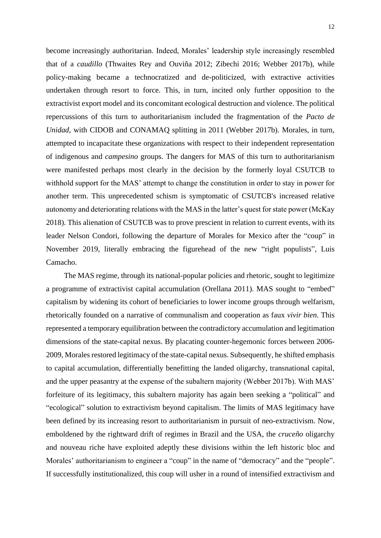become increasingly authoritarian. Indeed, Morales' leadership style increasingly resembled that of a *caudillo* (Thwaites Rey and Ouviña 2012; Zibechi 2016; Webber 2017b), while policy-making became a technocratized and de-politicized, with extractive activities undertaken through resort to force. This, in turn, incited only further opposition to the extractivist export model and its concomitant ecological destruction and violence. The political repercussions of this turn to authoritarianism included the fragmentation of the *Pacto de Unidad*, with CIDOB and CONAMAQ splitting in 2011 (Webber 2017b). Morales, in turn, attempted to incapacitate these organizations with respect to their independent representation of indigenous and *campesino* groups. The dangers for MAS of this turn to authoritarianism were manifested perhaps most clearly in the decision by the formerly loyal CSUTCB to withhold support for the MAS' attempt to change the constitution in order to stay in power for another term. This unprecedented schism is symptomatic of CSUTCB's increased relative autonomy and deteriorating relations with the MAS in the latter's quest for state power (McKay 2018). This alienation of CSUTCB was to prove prescient in relation to current events, with its leader Nelson Condori, following the departure of Morales for Mexico after the "coup" in November 2019, literally embracing the figurehead of the new "right populists", Luis Camacho.

The MAS regime, through its national-popular policies and rhetoric, sought to legitimize a programme of extractivist capital accumulation (Orellana 2011). MAS sought to "embed" capitalism by widening its cohort of beneficiaries to lower income groups through welfarism, rhetorically founded on a narrative of communalism and cooperation as faux *vivir bien*. This represented a temporary equilibration between the contradictory accumulation and legitimation dimensions of the state-capital nexus. By placating counter-hegemonic forces between 2006- 2009, Morales restored legitimacy of the state-capital nexus. Subsequently, he shifted emphasis to capital accumulation, differentially benefitting the landed oligarchy, transnational capital, and the upper peasantry at the expense of the subaltern majority (Webber 2017b). With MAS' forfeiture of its legitimacy, this subaltern majority has again been seeking a "political" and "ecological" solution to extractivism beyond capitalism. The limits of MAS legitimacy have been defined by its increasing resort to authoritarianism in pursuit of neo-extractivism. Now, emboldened by the rightward drift of regimes in Brazil and the USA, the *cruceño* oligarchy and nouveau riche have exploited adeptly these divisions within the left historic bloc and Morales' authoritarianism to engineer a "coup" in the name of "democracy" and the "people". If successfully institutionalized, this coup will usher in a round of intensified extractivism and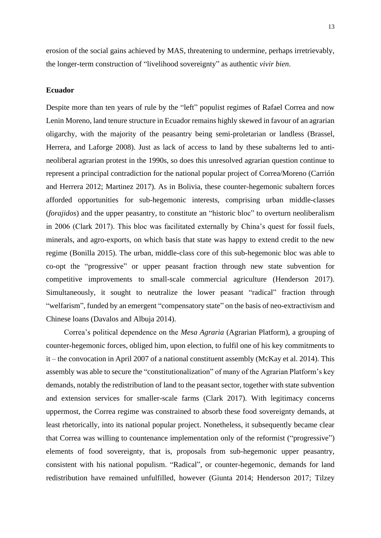erosion of the social gains achieved by MAS, threatening to undermine, perhaps irretrievably, the longer-term construction of "livelihood sovereignty" as authentic *vivir bien*.

## **Ecuador**

Despite more than ten years of rule by the "left" populist regimes of Rafael Correa and now Lenin Moreno, land tenure structure in Ecuador remains highly skewed in favour of an agrarian oligarchy, with the majority of the peasantry being semi-proletarian or landless (Brassel, Herrera, and Laforge 2008). Just as lack of access to land by these subalterns led to antineoliberal agrarian protest in the 1990s, so does this unresolved agrarian question continue to represent a principal contradiction for the national popular project of Correa/Moreno (Carrión and Herrera 2012; Martinez 2017). As in Bolivia, these counter-hegemonic subaltern forces afforded opportunities for sub-hegemonic interests, comprising urban middle-classes (*forajidos*) and the upper peasantry, to constitute an "historic bloc" to overturn neoliberalism in 2006 (Clark 2017). This bloc was facilitated externally by China's quest for fossil fuels, minerals, and agro-exports, on which basis that state was happy to extend credit to the new regime (Bonilla 2015). The urban, middle-class core of this sub-hegemonic bloc was able to co-opt the "progressive" or upper peasant fraction through new state subvention for competitive improvements to small-scale commercial agriculture (Henderson 2017). Simultaneously, it sought to neutralize the lower peasant "radical" fraction through "welfarism", funded by an emergent "compensatory state" on the basis of neo-extractivism and Chinese loans (Davalos and Albuja 2014).

Correa's political dependence on the *Mesa Agraria* (Agrarian Platform), a grouping of counter-hegemonic forces, obliged him, upon election, to fulfil one of his key commitments to it – the convocation in April 2007 of a national constituent assembly (McKay et al. 2014). This assembly was able to secure the "constitutionalization" of many of the Agrarian Platform's key demands, notably the redistribution of land to the peasant sector, together with state subvention and extension services for smaller-scale farms (Clark 2017). With legitimacy concerns uppermost, the Correa regime was constrained to absorb these food sovereignty demands, at least rhetorically, into its national popular project. Nonetheless, it subsequently became clear that Correa was willing to countenance implementation only of the reformist ("progressive") elements of food sovereignty, that is, proposals from sub-hegemonic upper peasantry, consistent with his national populism. "Radical", or counter-hegemonic, demands for land redistribution have remained unfulfilled, however (Giunta 2014; Henderson 2017; Tilzey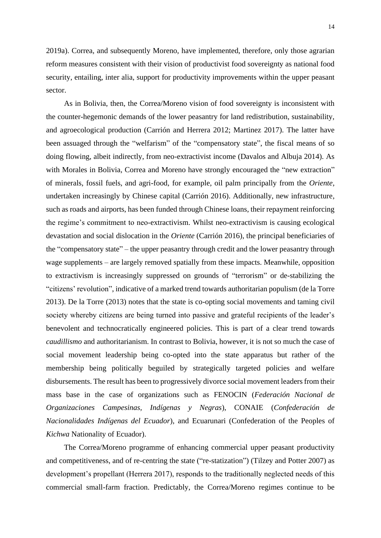2019a). Correa, and subsequently Moreno, have implemented, therefore, only those agrarian reform measures consistent with their vision of productivist food sovereignty as national food security, entailing, inter alia, support for productivity improvements within the upper peasant sector.

As in Bolivia, then, the Correa/Moreno vision of food sovereignty is inconsistent with the counter-hegemonic demands of the lower peasantry for land redistribution, sustainability, and agroecological production (Carrión and Herrera 2012; Martinez 2017). The latter have been assuaged through the "welfarism" of the "compensatory state", the fiscal means of so doing flowing, albeit indirectly, from neo-extractivist income (Davalos and Albuja 2014). As with Morales in Bolivia, Correa and Moreno have strongly encouraged the "new extraction" of minerals, fossil fuels, and agri-food, for example, oil palm principally from the *Oriente*, undertaken increasingly by Chinese capital (Carrión 2016). Additionally, new infrastructure, such as roads and airports, has been funded through Chinese loans, their repayment reinforcing the regime's commitment to neo-extractivism. Whilst neo-extractivism is causing ecological devastation and social dislocation in the *Oriente* (Carrión 2016), the principal beneficiaries of the "compensatory state" – the upper peasantry through credit and the lower peasantry through wage supplements – are largely removed spatially from these impacts. Meanwhile, opposition to extractivism is increasingly suppressed on grounds of "terrorism" or de-stabilizing the "citizens' revolution", indicative of a marked trend towards authoritarian populism (de la Torre 2013). De la Torre (2013) notes that the state is co-opting social movements and taming civil society whereby citizens are being turned into passive and grateful recipients of the leader's benevolent and technocratically engineered policies. This is part of a clear trend towards *caudillismo* and authoritarianism. In contrast to Bolivia, however, it is not so much the case of social movement leadership being co-opted into the state apparatus but rather of the membership being politically beguiled by strategically targeted policies and welfare disbursements. The result has been to progressively divorce social movement leaders from their mass base in the case of organizations such as FENOCIN (*Federación Nacional de Organizaciones Campesinas, Indígenas y Negras*), CONAIE (*Confederación de Nacionalidades Indígenas del Ecuador*), and Ecuarunari (Confederation of the Peoples of *Kichwa* Nationality of Ecuador).

The Correa/Moreno programme of enhancing commercial upper peasant productivity and competitiveness, and of re-centring the state ("re-statization") (Tilzey and Potter 2007) as development's propellant (Herrera 2017), responds to the traditionally neglected needs of this commercial small-farm fraction. Predictably, the Correa/Moreno regimes continue to be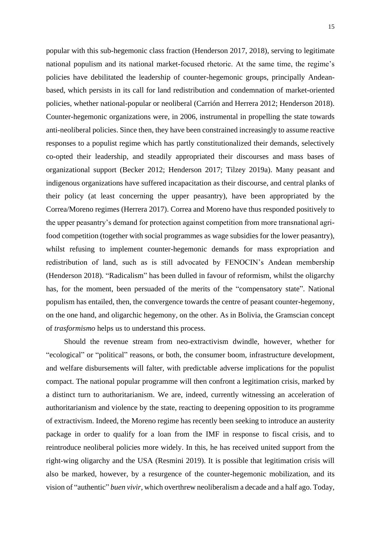popular with this sub-hegemonic class fraction (Henderson 2017, 2018), serving to legitimate national populism and its national market-focused rhetoric. At the same time, the regime's policies have debilitated the leadership of counter-hegemonic groups, principally Andeanbased, which persists in its call for land redistribution and condemnation of market-oriented policies, whether national-popular or neoliberal (Carrión and Herrera 2012; Henderson 2018). Counter-hegemonic organizations were, in 2006, instrumental in propelling the state towards anti-neoliberal policies. Since then, they have been constrained increasingly to assume reactive responses to a populist regime which has partly constitutionalized their demands, selectively co-opted their leadership, and steadily appropriated their discourses and mass bases of organizational support (Becker 2012; Henderson 2017; Tilzey 2019a). Many peasant and indigenous organizations have suffered incapacitation as their discourse, and central planks of their policy (at least concerning the upper peasantry), have been appropriated by the Correa/Moreno regimes (Herrera 2017). Correa and Moreno have thus responded positively to the upper peasantry's demand for protection against competition from more transnational agrifood competition (together with social programmes as wage subsidies for the lower peasantry), whilst refusing to implement counter-hegemonic demands for mass expropriation and redistribution of land, such as is still advocated by FENOCIN's Andean membership (Henderson 2018). "Radicalism" has been dulled in favour of reformism, whilst the oligarchy has, for the moment, been persuaded of the merits of the "compensatory state". National populism has entailed, then, the convergence towards the centre of peasant counter-hegemony, on the one hand, and oligarchic hegemony, on the other. As in Bolivia, the Gramscian concept of *trasformismo* helps us to understand this process.

Should the revenue stream from neo-extractivism dwindle, however, whether for "ecological" or "political" reasons, or both, the consumer boom, infrastructure development, and welfare disbursements will falter, with predictable adverse implications for the populist compact. The national popular programme will then confront a legitimation crisis, marked by a distinct turn to authoritarianism. We are, indeed, currently witnessing an acceleration of authoritarianism and violence by the state, reacting to deepening opposition to its programme of extractivism. Indeed, the Moreno regime has recently been seeking to introduce an austerity package in order to qualify for a loan from the IMF in response to fiscal crisis, and to reintroduce neoliberal policies more widely. In this, he has received united support from the right-wing oligarchy and the USA (Resmini 2019). It is possible that legitimation crisis will also be marked, however, by a resurgence of the counter-hegemonic mobilization, and its vision of "authentic" *buen vivir*, which overthrew neoliberalism a decade and a half ago. Today,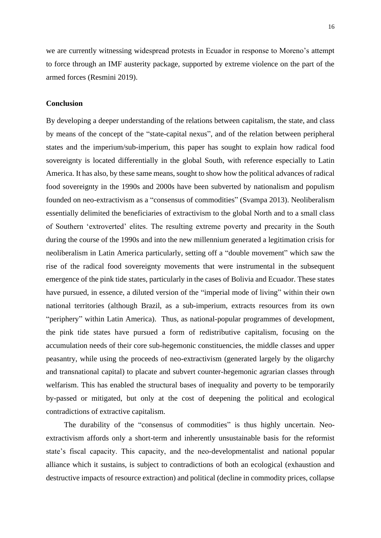we are currently witnessing widespread protests in Ecuador in response to Moreno's attempt to force through an IMF austerity package, supported by extreme violence on the part of the armed forces (Resmini 2019).

# **Conclusion**

By developing a deeper understanding of the relations between capitalism, the state, and class by means of the concept of the "state-capital nexus", and of the relation between peripheral states and the imperium/sub-imperium, this paper has sought to explain how radical food sovereignty is located differentially in the global South, with reference especially to Latin America. It has also, by these same means, sought to show how the political advances of radical food sovereignty in the 1990s and 2000s have been subverted by nationalism and populism founded on neo-extractivism as a "consensus of commodities" (Svampa 2013). Neoliberalism essentially delimited the beneficiaries of extractivism to the global North and to a small class of Southern 'extroverted' elites. The resulting extreme poverty and precarity in the South during the course of the 1990s and into the new millennium generated a legitimation crisis for neoliberalism in Latin America particularly, setting off a "double movement" which saw the rise of the radical food sovereignty movements that were instrumental in the subsequent emergence of the pink tide states, particularly in the cases of Bolivia and Ecuador. These states have pursued, in essence, a diluted version of the "imperial mode of living" within their own national territories (although Brazil, as a sub-imperium, extracts resources from its own "periphery" within Latin America). Thus, as national-popular programmes of development, the pink tide states have pursued a form of redistributive capitalism, focusing on the accumulation needs of their core sub-hegemonic constituencies, the middle classes and upper peasantry, while using the proceeds of neo-extractivism (generated largely by the oligarchy and transnational capital) to placate and subvert counter-hegemonic agrarian classes through welfarism. This has enabled the structural bases of inequality and poverty to be temporarily by-passed or mitigated, but only at the cost of deepening the political and ecological contradictions of extractive capitalism.

The durability of the "consensus of commodities" is thus highly uncertain. Neoextractivism affords only a short-term and inherently unsustainable basis for the reformist state's fiscal capacity. This capacity, and the neo-developmentalist and national popular alliance which it sustains, is subject to contradictions of both an ecological (exhaustion and destructive impacts of resource extraction) and political (decline in commodity prices, collapse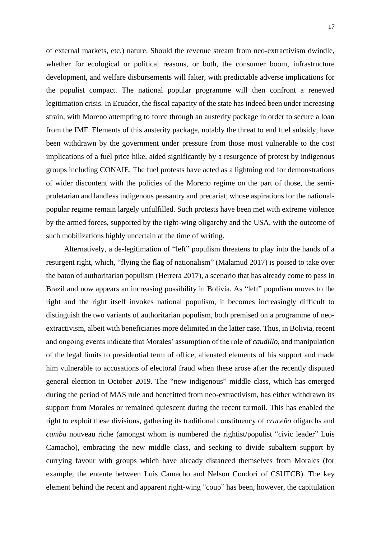of external markets, etc.) nature. Should the revenue stream from neo-extractivism dwindle, whether for ecological or political reasons, or both, the consumer boom, infrastructure development, and welfare disbursements will falter, with predictable adverse implications for the populist compact. The national popular programme will then confront a renewed legitimation crisis. In Ecuador, the fiscal capacity of the state has indeed been under increasing strain, with Moreno attempting to force through an austerity package in order to secure a loan from the IMF. Elements of this austerity package, notably the threat to end fuel subsidy, have been withdrawn by the government under pressure from those most vulnerable to the cost implications of a fuel price hike, aided significantly by a resurgence of protest by indigenous groups including CONAIE. The fuel protests have acted as a lightning rod for demonstrations of wider discontent with the policies of the Moreno regime on the part of those, the semiproletarian and landless indigenous peasantry and precariat, whose aspirations for the nationalpopular regime remain largely unfulfilled. Such protests have been met with extreme violence by the armed forces, supported by the right-wing oligarchy and the USA, with the outcome of such mobilizations highly uncertain at the time of writing.

Alternatively, a de-legitimation of "left" populism threatens to play into the hands of a resurgent right, which, "flying the flag of nationalism" (Malamud 2017) is poised to take over the baton of authoritarian populism (Herrera 2017), a scenario that has already come to pass in Brazil and now appears an increasing possibility in Bolivia. As "left" populism moves to the right and the right itself invokes national populism, it becomes increasingly difficult to distinguish the two variants of authoritarian populism, both premised on a programme of neoextractivism, albeit with beneficiaries more delimited in the latter case. Thus, in Bolivia, recent and ongoing events indicate that Morales' assumption of the role of *caudillo*, and manipulation of the legal limits to presidential term of office, alienated elements of his support and made him vulnerable to accusations of electoral fraud when these arose after the recently disputed general election in October 2019. The "new indigenous" middle class, which has emerged during the period of MAS rule and benefitted from neo-extractivism, has either withdrawn its support from Morales or remained quiescent during the recent turmoil. This has enabled the right to exploit these divisions, gathering its traditional constituency of *cruceño* oligarchs and *camba* nouveau riche (amongst whom is numbered the rightist/populist "civic leader" Luis Camacho), embracing the new middle class, and seeking to divide subaltern support by currying favour with groups which have already distanced themselves from Morales (for example, the entente between Luis Camacho and Nelson Condori of CSUTCB). The key element behind the recent and apparent right-wing "coup" has been, however, the capitulation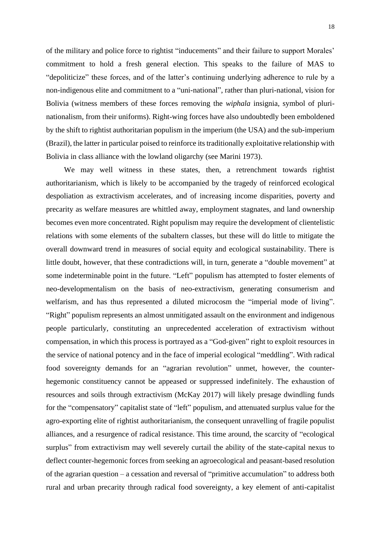of the military and police force to rightist "inducements" and their failure to support Morales' commitment to hold a fresh general election. This speaks to the failure of MAS to "depoliticize" these forces, and of the latter's continuing underlying adherence to rule by a non-indigenous elite and commitment to a "uni-national", rather than pluri-national, vision for Bolivia (witness members of these forces removing the *wiphala* insignia, symbol of plurinationalism, from their uniforms). Right-wing forces have also undoubtedly been emboldened by the shift to rightist authoritarian populism in the imperium (the USA) and the sub-imperium (Brazil), the latter in particular poised to reinforce its traditionally exploitative relationship with Bolivia in class alliance with the lowland oligarchy (see Marini 1973).

We may well witness in these states, then, a retrenchment towards rightist authoritarianism, which is likely to be accompanied by the tragedy of reinforced ecological despoliation as extractivism accelerates, and of increasing income disparities, poverty and precarity as welfare measures are whittled away, employment stagnates, and land ownership becomes even more concentrated. Right populism may require the development of clientelistic relations with some elements of the subaltern classes, but these will do little to mitigate the overall downward trend in measures of social equity and ecological sustainability. There is little doubt, however, that these contradictions will, in turn, generate a "double movement" at some indeterminable point in the future. "Left" populism has attempted to foster elements of neo-developmentalism on the basis of neo-extractivism, generating consumerism and welfarism, and has thus represented a diluted microcosm the "imperial mode of living". "Right" populism represents an almost unmitigated assault on the environment and indigenous people particularly, constituting an unprecedented acceleration of extractivism without compensation, in which this process is portrayed as a "God-given" right to exploit resources in the service of national potency and in the face of imperial ecological "meddling". With radical food sovereignty demands for an "agrarian revolution" unmet, however, the counterhegemonic constituency cannot be appeased or suppressed indefinitely. The exhaustion of resources and soils through extractivism (McKay 2017) will likely presage dwindling funds for the "compensatory" capitalist state of "left" populism, and attenuated surplus value for the agro-exporting elite of rightist authoritarianism, the consequent unravelling of fragile populist alliances, and a resurgence of radical resistance. This time around, the scarcity of "ecological surplus" from extractivism may well severely curtail the ability of the state-capital nexus to deflect counter-hegemonic forces from seeking an agroecological and peasant-based resolution of the agrarian question – a cessation and reversal of "primitive accumulation" to address both rural and urban precarity through radical food sovereignty, a key element of anti-capitalist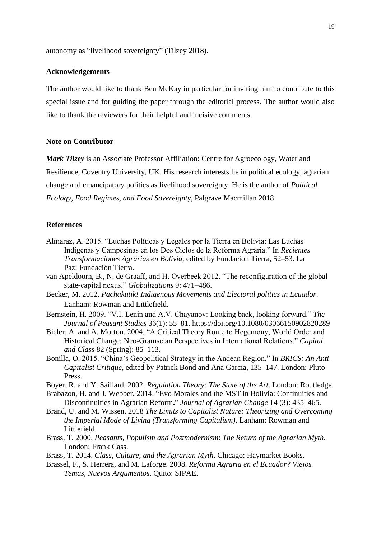autonomy as "livelihood sovereignty" (Tilzey 2018).

#### **Acknowledgements**

The author would like to thank Ben McKay in particular for inviting him to contribute to this special issue and for guiding the paper through the editorial process. The author would also like to thank the reviewers for their helpful and incisive comments.

#### **Note on Contributor**

*Mark Tilzey* is an Associate Professor Affiliation: Centre for Agroecology, Water and Resilience, Coventry University, UK. His research interests lie in political ecology, agrarian change and emancipatory politics as livelihood sovereignty. He is the author of *Political Ecology, Food Regimes, and Food Sovereignty*, Palgrave Macmillan 2018.

### **References**

- Almaraz, A. 2015. "Luchas Políticas y Legales por la Tierra en Bolivia: Las Luchas Indígenas y Campesinas en los Dos Ciclos de la Reforma Agraria." In *Recientes Transformaciones Agrarias en Bolivia*, edited by Fundación Tierra, 52–53. La Paz: Fundación Tierra.
- van Apeldoorn, B., N. de Graaff, and H. Overbeek 2012. "The reconfiguration of the global state-capital nexus." *Globalizations* 9: 471–486.
- Becker, M. 2012. *Pachakutik! Indigenous Movements and Electoral politics in Ecuador*. Lanham: Rowman and Littlefield.
- Bernstein, H. 2009. "V.I. Lenin and A.V. Chayanov: Looking back, looking forward." *The Journal of Peasant Studies* 36(1): 55–81. https://doi.org/10.1080/03066150902820289
- Bieler, A. and A. Morton. 2004. "A Critical Theory Route to Hegemony, World Order and Historical Change: Neo-Gramscian Perspectives in International Relations." *Capital and Class* 82 (Spring): 85–113.
- Bonilla, O. 2015. "China's Geopolitical Strategy in the Andean Region." In *BRICS: An Anti-Capitalist Critique*, edited by Patrick Bond and Ana Garcia, 135–147. London: Pluto Press.
- Boyer, R. and Y. Saillard. 2002. *Regulation Theory: The State of the Art*. London: Routledge.
- Brabazon, H. and J. Webber**.** 2014. "Evo Morales and the MST in Bolivia: Continuities and Discontinuities in Agrarian Reform**.**" *Journal of Agrarian Change* 14 (3): 435–465.
- Brand, U. and M. Wissen. 2018 *The Limits to Capitalist Nature: Theorizing and Overcoming the Imperial Mode of Living (Transforming Capitalism)*. Lanham: Rowman and Littlefield.
- Brass, T. 2000. *Peasants, Populism and Postmodernism*: *The Return of the Agrarian Myth*. London: Frank Cass.
- Brass, T. 2014. *Class, Culture, and the Agrarian Myth*. Chicago: Haymarket Books.
- Brassel, F., S. Herrera, and M. Laforge. 2008. *Reforma Agraria en el Ecuador? Viejos Temas, Nuevos Argumentos*. Quito: SIPAE.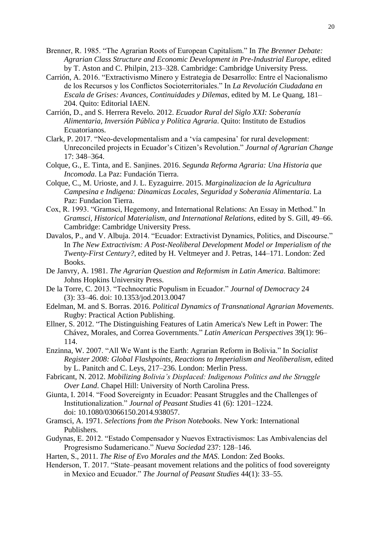- Brenner, R. 1985. "The Agrarian Roots of European Capitalism." In *The Brenner Debate: Agrarian Class Structure and Economic Development in Pre-Industrial Europe,* edited by T. Aston and C. Philpin, 213–328. Cambridge: Cambridge University Press.
- Carrión, A. 2016. "Extractivismo Minero y Estrategia de Desarrollo: Entre el Nacionalismo de los Recursos y los Conflictos Socioterritoriales." In *La Revolución Ciudadana en Escala de Grises: Avances, Continuidades y Dilemas*, edited by M. Le Quang, 181– 204. Quito: Editorial IAEN.
- Carrión, D., and S. Herrera Revelo. 2012. *Ecuador Rural del Siglo XXI: Soberanía Alimentaria, Inversión Pública y Política Agraria*. Quito: Instituto de Estudios Ecuatorianos.
- Clark, P. 2017. "Neo‐developmentalism and a 'vía campesina' for rural development: Unreconciled projects in Ecuador's Citizen's Revolution." *Journal of Agrarian Change* 17: 348–364.
- Colque, G., E. Tinta, and E. Sanjines. 2016. *Segunda Reforma Agraria: Una Historia que Incomoda*. La Paz: Fundación Tierra.
- Colque, C., M. Urioste, and J. L. Eyzaguirre. 2015. *Marginalizacion de la Agricultura Campesina e Indigena: Dinamicas Locales, Seguridad y Soberania Alimentaria*. La Paz: Fundacion Tierra.
- Cox, R. 1993. "Gramsci, Hegemony, and International Relations: An Essay in Method." In *Gramsci, Historical Materialism, and International Relations*, edited by S. Gill, 49–66. Cambridge: Cambridge University Press.
- Davalos, P., and V. Albuja. 2014. "Ecuador: Extractivist Dynamics, Politics, and Discourse." In *The New Extractivism: A Post-Neoliberal Development Model or Imperialism of the Twenty-First Century?*, edited by H. Veltmeyer and J. Petras, 144–171. London: Zed Books.
- De Janvry, A. 1981. *The Agrarian Question and Reformism in Latin America*. Baltimore: Johns Hopkins University Press.
- De la Torre, C. 2013. "Technocratic Populism in Ecuador." *Journal of Democracy* 24 (3): 33–46. doi: 10.1353/jod.2013.0047
- Edelman, M. and S. Borras. 2016. *Political Dynamics of Transnational Agrarian Movements*. Rugby: Practical Action Publishing.
- Ellner, S. 2012. "The Distinguishing Features of Latin America's New Left in Power: The Chávez, Morales, and Correa Governments." *Latin American Perspectives* 39(1): 96– 114.
- Enzinna, W. 2007. "All We Want is the Earth: Agrarian Reform in Bolivia." In *Socialist Register 2008: Global Flashpoints, Reactions to Imperialism and Neoliberalism*, edited by L. Panitch and C. Leys, 217–236. London: Merlin Press.
- Fabricant, N. 2012. *Mobilizing Bolivia's Displaced: Indigenous Politics and the Struggle Over Land*. Chapel Hill: University of North Carolina Press.
- Giunta, I. 2014. "Food Sovereignty in Ecuador: Peasant Struggles and the Challenges of Institutionalization." *Journal of Peasant Studies* 41 (6): 1201–1224. doi: 10.1080/03066150.2014.938057.
- Gramsci, A. 1971. *Selections from the Prison Notebooks*. New York: International Publishers.
- Gudynas, E. 2012. "Estado Compensador y Nuevos Extractivismos: Las Ambivalencias del Progresismo Sudamericano." *Nueva Sociedad* 237: 128–146.
- Harten, S., 2011. *The Rise of Evo Morales and the MAS*. London: Zed Books.
- Henderson, T. 2017. "State–peasant movement relations and the politics of food sovereignty in Mexico and Ecuador." *The Journal of Peasant Studies* 44(1): 33–55.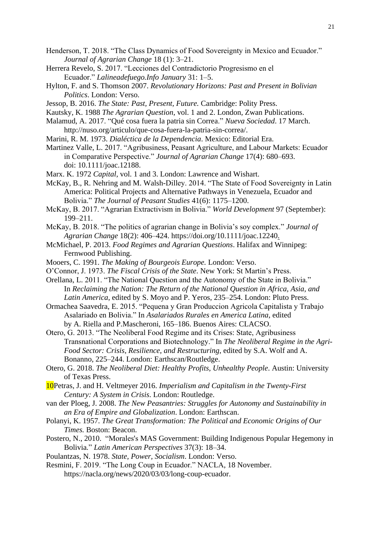- Henderson, T. 2018. "The Class Dynamics of Food Sovereignty in Mexico and Ecuador." *Journal of Agrarian Change* 18 (1): 3–21.
- Herrera Revelo, S. 2017. "Lecciones del Contradictorio Progresismo en el Ecuador." *Lalineadefuego.Info January* 31: 1–5.
- Hylton, F. and S. Thomson 2007. *Revolutionary Horizons: Past and Present in Bolivian Politics*. London: Verso.
- Jessop, B. 2016. *The State: Past, Present, Future.* Cambridge: Polity Press.
- Kautsky, K. 1988 *The Agrarian Question*, vol. 1 and 2. London, Zwan Publications.
- Malamud, A. 2017. "Qué cosa fuera la patria sin Correa." *Nueva Sociedad*. 17 March.
- http://nuso.org/articulo/que-cosa-fuera-la-patria-sin-correa/.
- Marini, R. M. 1973. *Dialéctica de la Dependencia*. Mexico: Editorial Era.

Martinez Valle, L. 2017. "Agribusiness, Peasant Agriculture, and Labour Markets: Ecuador in Comparative Perspective." *Journal of Agrarian Change* 17(4): 680–693. doi: 10.1111/joac.12188.

- Marx. K. 1972 *Capital*, vol. 1 and 3. London: Lawrence and Wishart.
- McKay, B., R. Nehring and M. Walsh-Dilley. 2014. "The State of Food Sovereignty in Latin America: Political Projects and Alternative Pathways in Venezuela, Ecuador and Bolivia." *The Journal of Peasant Studies* 41(6): 1175–1200.
- McKay, B. 2017. "Agrarian Extractivism in Bolivia." *World Development* 97 (September): 199–211.
- McKay, B. 2018. "The politics of agrarian change in Bolivia's soy complex." *Journal of Agrarian Change* 18(2): 406–424. https://doi.org/10.1111/joac.12240.
- McMichael, P. 2013. *Food Regimes and Agrarian Questions*. Halifax and Winnipeg: Fernwood Publishing.
- Mooers, C. 1991. *The Making of Bourgeois Europe.* London: Verso.
- O'Connor, J. 1973. *The Fiscal Crisis of the State*. New York: St Martin's Press.
- Orellana, L. 2011. "The National Question and the Autonomy of the State in Bolivia." In *Reclaiming the Nation: The Return of the National Question in Africa, Asia, and Latin America*, edited by S. Moyo and P. Yeros, 235–254. London: Pluto Press.
- Ormachea Saavedra, E. 2015. "Pequena y Gran Produccion Agricola Capitalista y Trabajo Asalariado en Bolivia." In *Asalariados Rurales en America Latina*, edited by A. Riella and P.Mascheroni, 165–186. Buenos Aires: CLACSO.
- Otero, G. 2013. "The Neoliberal Food Regime and its Crises: State, Agribusiness Transnational Corporations and Biotechnology." In *The Neoliberal Regime in the Agri-Food Sector: Crisis, Resilience, and Restructuring*, edited by S.A. Wolf and A. Bonanno, 225–244. London: Earthscan/Routledge.
- Otero, G. 2018. *The Neoliberal Diet: Healthy Profits, Unhealthy People*. Austin: University of Texas Press.
- 10Petras, J. and H. Veltmeyer 2016. *Imperialism and Capitalism in the Twenty-First Century: A System in Crisis*. London: Routledge.
- van der Ploeg, J. 2008. *The New Peasantries: Struggles for Autonomy and Sustainability in an Era of Empire and Globalization*. London: Earthscan.
- Polanyi, K. 1957. *The Great Transformation: The Political and Economic Origins of Our Times.* Boston: Beacon.
- Postero, N., 2010."Morales's MAS Government: Building Indigenous Popular Hegemony in Bolivia*.*" *Latin American Perspectives* 37(3): 18–34.
- Poulantzas, N. 1978. *State, Power, Socialism*. London: Verso.
- Resmini, F. 2019. "The Long Coup in Ecuador." NACLA, 18 November. https://nacla.org/news/2020/03/03/long-coup-ecuador.